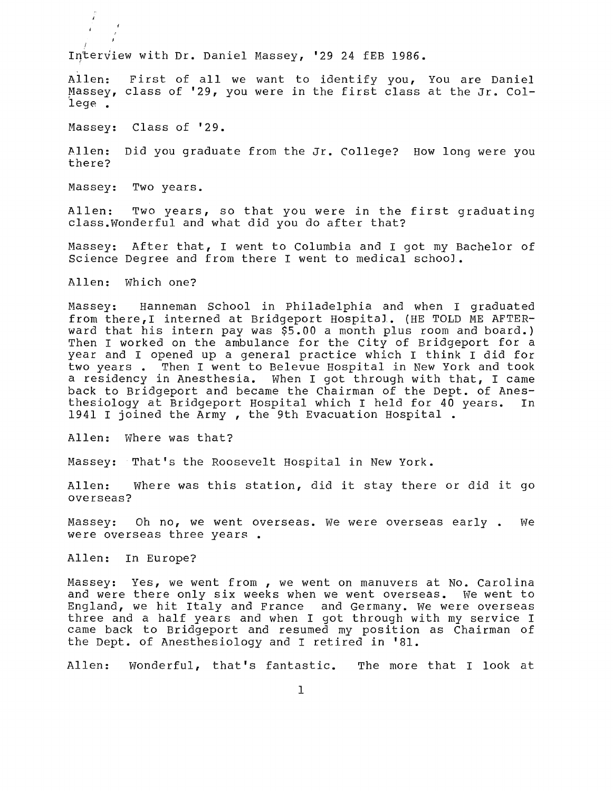Interview with Dr. Daniel Massey, '29 24 fEB 1986.

Allen: First of all we want to identify you, You are Daniel riston. These of '29, you were in the first class at the Jr. College.

Massey: Class of '29.

Allen: Did you graduate from the Jr. College? How long were you there?

Massey: Two years.

Allen: Two years, so that you were in the first graduating class.wonderful and what did you do after that?

Massey: After that, I went to Columbia and I got my Bachelor of Science Degree and from there I went to medical schooJ.

Allen: Which one?

Massey: Hanneman School in Philadelphia and when I graduated from there, I interned at Bridgeport Hospital. (HE TOLD ME AFTERward that his intern pay was \$5.00 a month plus room and board.) Then I worked on the ambulance for the City of Bridgeport for a year and I opened up a general practice which I think I did for two years . Then I went to Belevue Hospital in New York and took a residency in Anesthesia. When I got through with that, I came back to Bridgeport and became the Chairman of the Dept. of Anesthesiology at Bridgeport Hospital which I held for 40 years. In 1941 I joined the Army , the 9th Evacuation Hospital •

Allen: Where was that?

Massey: That's the Roosevelt Hospital in New York.

Allen: Where was this station, did it stay there or did it go overseas?

Massey: Oh no, we went overseas. We were overseas early . We were overseas three years .

Allen: In Europe?

Massey: Yes, we went from , we went on manuvers at No. Carolina and were there only six weeks when we went overseas. We went to England, we hit Italy and France and Germany. we were overseas three and a half years and when I got through with my service I came back to Bridgeport and resumed my position as Chairman of the Dept. of Anesthesiology and I retired in 'Bl.

Allen: wonderful, that's fantastic. The more that I look at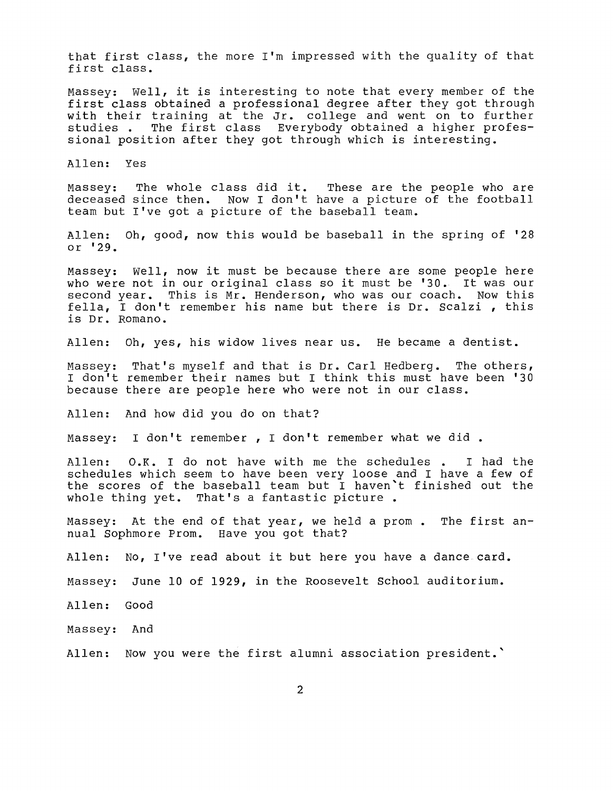that first class, the more I'm impressed with the quality of that first class.

Massey: Well, it is interesting to note that every member of the first class obtained a professional degree after they got through with their training at the Jr. college and went on to further studies . The first class Everybody obtained a higher professional position after they got through which is interesting.

Allen: Yes

Massey: The whole class did it. These are the people who are deceased since then. Now I don't have a picture of the football team but I've got a picture of the baseball team.

Allen: Oh, good, now this would be baseball in the spring of '28 or '29.

Massey: Well, now it must be because there are some people here who were not in our original class so it must be '30. It was our second year. This is Mr. Henderson, who was our coach. Now this fella, I don't remember his name but there is Dr. Scalzi , this is Dr. Romano.

Allen: Oh, yes, his widow lives near us. He became a dentist.

Massey: That's myself and that is Dr. Carl Hedberg. The others, I don't remember their names but I think this must have been '30 because there are people here who were not in our class.

Allen: And how did you do on that?

Massev: I don't remember, I don't remember what we did.

Allen: O.K. I do not have with me the schedules . I had the schedules which seem to have been very loose and I have a few of the scores of the baseball team but I haven't finished out the whole thing yet. That's a fantastic picture.

Massey: At the end of that year, we held a prom. The first annual Sophmore Prom. Have you got that?

Allen: No, I've read about it but here you have a dance card.

Massey: June 10 of 1929, in the Roosevelt School auditorium.

Allen: Good

Massey: And

Allen: Now you were the first alumni association president.'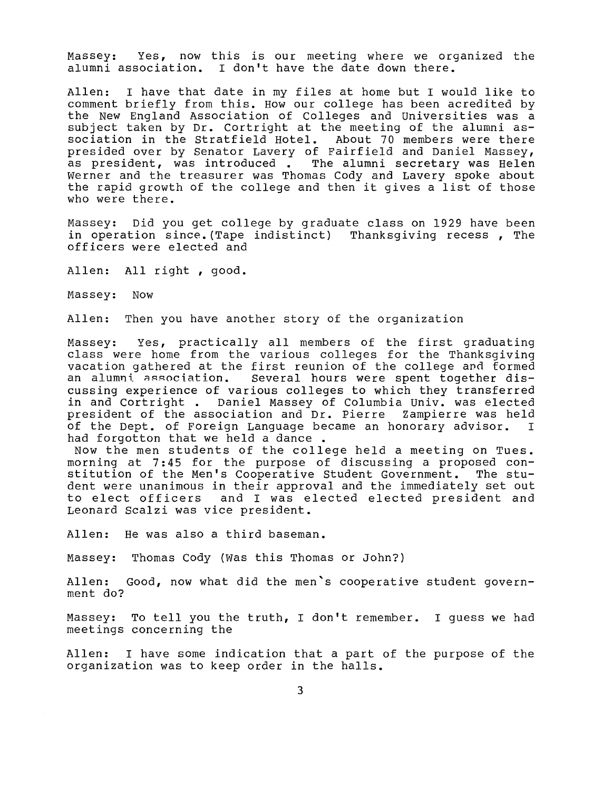Massey: Yes, now this is our meeting where we organized the alumni association. I don't have the date down there.

Allen: I have that date in my files at home but I would like to comment briefly from this. How our college has been acredited by the New England Association of Colleges and Universities was a subject taken by Dr. Cortright at the meeting of the alumni association in the Stratfield Hotel. About 70 members were there presided over by Senator Lavery of Fairfield and Daniel Massey, as president, was introduced  $\frac{1}{2}$  The alumni secretary was Helen Werner and the treasurer was Thomas Cody and Lavery spoke about the rapid growth of the college and then it gives a list of those who were there.

Massey: Did you get college by graduate class on 1929 have been in operation since. (Tape indistinct) Thanksgiving recess , The officers were elected and

Allen: All right , good.

Massey: Now

Allen: Then you have another story of the organization

Massey: Yes, practically all members of the first graduating class were home from the various colleges for the Thanksgiving vacation gathered at the first reunion of the college and formed<br>an alumni association. Several hours were spent together dis-Several hours were spent together discussing experience of various colleges to which they transferred in and Cortright . Daniel Massey of Columbia Univ. was elected<br>president of the association and Dr. Pierre Zampierre was held president of the association and Dr. Pierre Zampierre was held of the Dept. of Foreign Language became an honorary advisor. I had forgotton that we held a dance.

Now the men students of the college held a meeting on Tues. morning at 7: 45 for the purpose of discussing a proposed constitution of the Men's Cooperative Student Government. The student were unanimous in their approval and the immediately set out<br>to elect officers and I was elected elected president and and I was elected elected president and Leonard Scalzi was vice president.

Allen: He was also a third baseman.

Massey: Thomas Cody (Was this Thomas or John?)

Allen: Good, now what did the men's cooperative student government do?

Massey: To tell you the truth, I don't remember. I guess we had meetings concerning the

Allen: I have some indication that a part of the purpose of the organization was to keep order in the halls.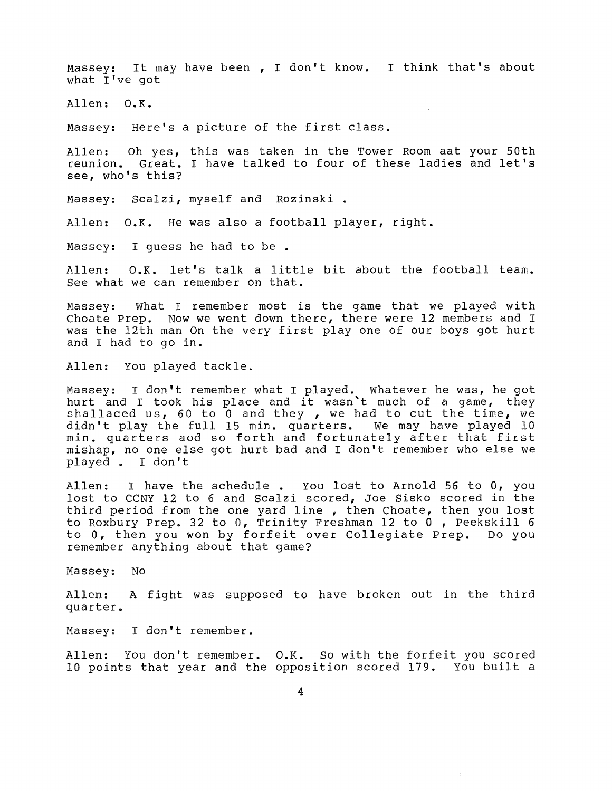Massey: It may have been , I don't know. I think that's about what I've got

Allen: O.K.

Massey: Here's a picture of the first class.

Allen: Oh yes, this was taken in the Tower Room aat your 50th reunion. Great. I have talked to four of these ladies and let's see, who's this?

Massey: Scalzi, myself and Rozinski.

Allen: O.K. He was also a football player, right.

Massey: I quess he had to be.

Allen: O.K. let's talk a little bit about the football team. See what we can remember on that.

Massey: What I remember most is the game that we played with Choate Prep. Now we went down there, there were 12 members and I was the 12th man On the very first play one of our boys got hurt and I had to go in.

Allen: You played tackle.

Massey: I don't remember what I played. Whatever he was, he got massey: I don't remember what I prayed. Whatever he was, he got<br>hurt and I took his place and it wasn't much of a game, they shallaced us, 60 to 0 and they, we had to cut the time, we didn't play the full 15 min. quarters. we may have played 10 min. quarters aod so forth and fortunately after that first mishap, no one else got hurt bad and I don't remember who else we played • I don't

Allen: I have the schedule . You lost to Arnold 56 to 0, you lost to CCNY 12 to 6 and Scalzi scored, Joe Sisko scored in the third period from the one yard line , then Choate, then you lost to Roxbury Prep. 32 to 0, Trinity Freshman 12 to 0, Peekskill 6<br>to 0, then you won by forfeit over Collegiate Prep. Do you to 0, then you won by forfeit over Collegiate Prep. remember anything about that game?

Massey: No

Allen: quarter. A fight was supposed to have broken out in the third

Massey: I don't remember.

Allen: You don't remember. O.K. So with the forfeit you scored 10 points that year and the opposition scored 179. You built a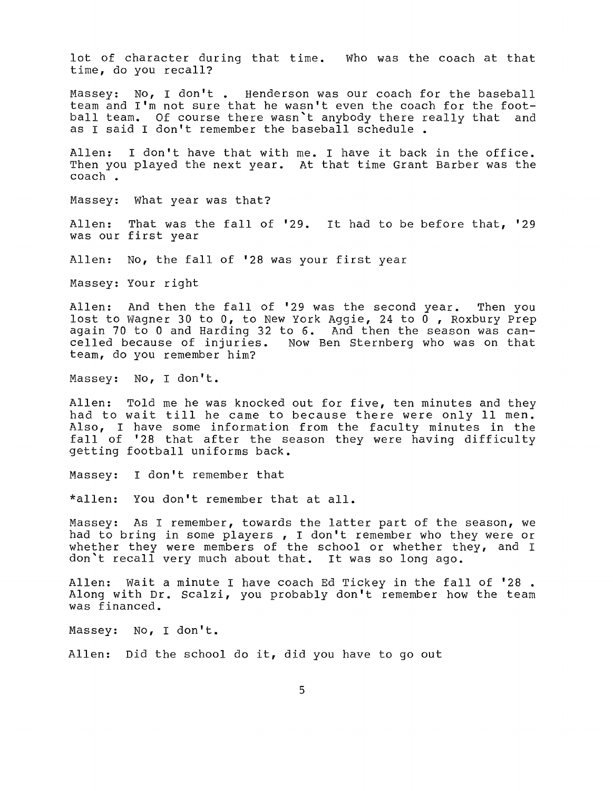lot of character during that time. Who was the coach at that time, do you recall?

Massey: No, I don't . Henderson was our coach for the baseball team and I'm not sure that he wasn't even the coach for the football team. Of course there wasn't anybody there really that and as I said I don't remember the baseball schedule.

Allen: I don't have that with me. I have it back in the office. Then you played the next year. At that time Grant Barber was the coach •

Massey: What year was that?

Allen: That was the fall of '29. It had to be before that, '29 was our first year

Allen: No, the fall of '28 was your first year

Massey: Your right

Allen: And then the fall of '29 was the second year. Then you lost to Wagner 30 to 0, to New York Aggie, 24 to 0, Roxbury Prep again 70 to 0 and Harding 32 to 6. And then the season was cancelled because of injuries. Now Ben Sternberg who was on that team, do you remember him?

Massey: No, I don't.

Allen: Told me he was knocked out for five, ten minutes and they had to wait till he came to because there were only 11 men. Also, I have some information from the faculty minutes in the fall of '28 that after the season they were having difficulty getting football uniforms back.

Massey: I don't remember that

\*allen: You don't remember that at all.

Massey: As I remember, towards the latter part of the season, we had to bring in some players , I don't remember who they were or whether they were members of the school or whether they, and I don't recall very much about that. It was so long ago.

Allen: Wait a minute I have coach Ed Tickey in the fall of '28 • Along with Dr. Scalzi, you probably don't remember how the team was financed.

Massey: No, I don't.

Allen: Did the school do it, did you have to go out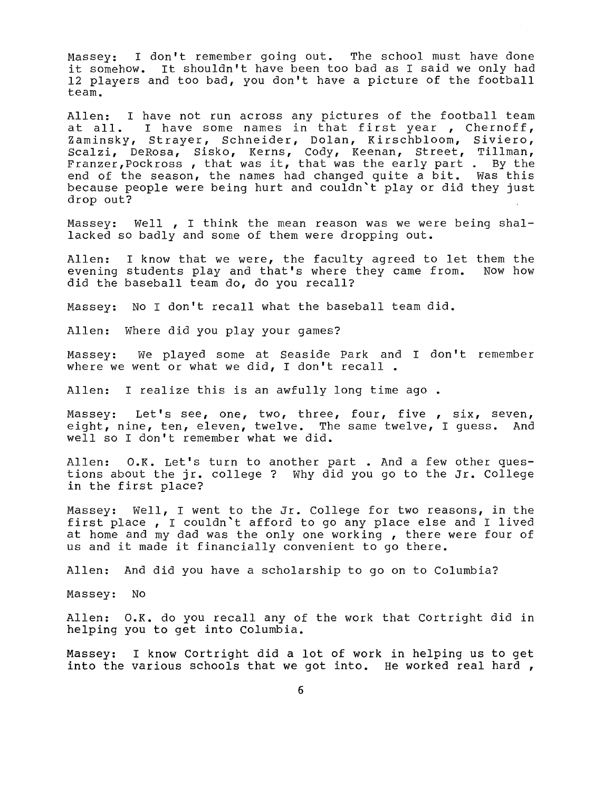Massey: I don't remember going out. The school must have done it somehow. It shouldn't have been too bad as I said we only had 12 players and too bad, you don't have a picture of the football team.

Allen: I have not run across any pictures of the football team at all. I have not fun across any precares of the rootbarr team Zaminsky, Strayer, Schneider, Dolan, Kirschbloom, Siviero, Scalzi, DeRosa, Sisko, Kerns, Cody, Keenan, Street, Tillman, Franzer,Pockross , that was it, that was the early part . By the end of the season, the names had changed quite a bit. was this because people were being hurt and couldn't play or did they just drop out?

Massey: Well , I think the mean reason was we were being shallacked so badly and some of them were dropping out.

Allen: I know that we were, the faculty agreed to let them the evening students play and that's where they came from. Now how evening students play and that's where they came from. did the baseball team do, do you recall?

Massey: No I don't recall what the baseball team did.

Allen: Where did you play your games?

Massey: we played some at Seaside Park and I don't remember where we went or what we did, I don't recall.

Allen: I realize this is an awfully long time ago.

Massey: Let's see, one, two, three, four, five , six, seven, eight, nine, ten, eleven, twelve. The same twelve, I guess. And well so I don't remember what we did.

Allen: O.K. Let's turn to another part . And a few other questions about the jr. college ? Why did you go to the Jr. College in the first place?

Massey: Well, I went to the Jr. College for two reasons, in the first place , I couldn't afford to go any place else and I lived at home and my dad was the only one working , there were four of us and it made it financially convenient to go there.

Allen: And did you have a scholarship to go on to Columbia?

Massey: No

Allen: O.K. do you recall any of the work that Cortright did in helping you to get into Columbia.

Massey: I know Cortright did a lot of work in helping us to get into the various schools that we got into. He worked real hard,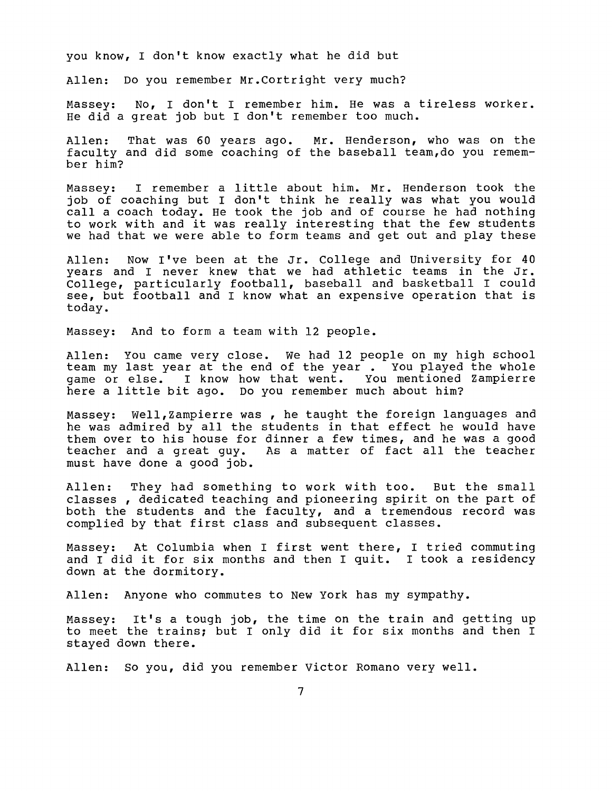you know, I don't know exactly what he did but

Allen: Do you remember Mr.Cortright very much?

Massey: No, I don't I remember him. He was a tireless worker. He did a great job but I don't remember too much.

Allen: That was 60 years ago. Mr. Henderson, who was on the faculty and did some coaching of the baseball team,do you remember him?

Massey: I remember a little about him. Mr. Henderson took the job of coaching but I don't think he really was what you would call a coach today. He took the job and of course he had nothing *to* work with and it was really interesting that the few students we had that we were able *to* form teams and get out and play these

Allen: Now I've been at the Jr. College and University for 40 years and I never knew that we had athletic teams in the Jr. College, particularly football, baseball and basketball I could see, but football and I know what an expensive operation that is today.

Massey: And *to* form a team with 12 people.

Allen: You came very close. we had 12 people on my high school team my last year at the end of the year. You played the whole game or else. I know how that went. You mentioned zampierre here a little bit ago. Do you remember much about him?

Massey: Well,Zampierre was , he taught the foreign languages and he was admired by all the students in that effect he would have them over *to* his house for dinner a few times, and he was a good teacher and a great guy. As a matter of fact all the teacher must have done a good job.

Allen: They had something *to* work with too. But the small classes , dedicated teaching and pioneering spirit on the part of both the students and the faculty, and a tremendous record was complied by that first class and subsequent classes.

Massey: At Columbia when I first went there, I tried commuting and I did it for six months and then I quit. I took a residency down at the dormitory.

Allen: Anyone who commutes *to* New York has my sympathy.

Massey: It's a tough job, the time on the train and getting up *to* meet the trains; but I only did it for six months and then I stayed down there.

Allen: So you, did you remember Victor Romano very well.